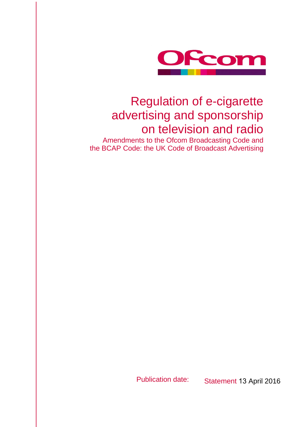

# Regulation of e-cigarette advertising and sponsorship on television and radio

Amendments to the Ofcom Broadcasting Code and the BCAP Code: the UK Code of Broadcast Advertising

Publication date: Statement 13 April 2016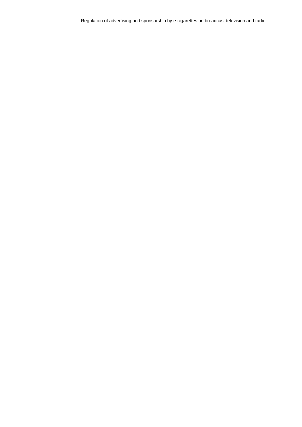Regulation of advertising and sponsorship by e-cigarettes on broadcast television and radio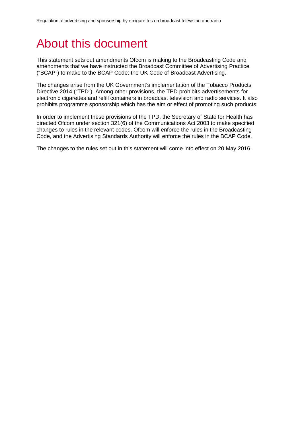# About this document

This statement sets out amendments Ofcom is making to the Broadcasting Code and amendments that we have instructed the Broadcast Committee of Advertising Practice ("BCAP") to make to the BCAP Code: the UK Code of Broadcast Advertising.

The changes arise from the UK Government's implementation of the Tobacco Products Directive 2014 ("TPD"). Among other provisions, the TPD prohibits advertisements for electronic cigarettes and refill containers in broadcast television and radio services. It also prohibits programme sponsorship which has the aim or effect of promoting such products.

In order to implement these provisions of the TPD, the Secretary of State for Health has directed Ofcom under section 321(6) of the Communications Act 2003 to make specified changes to rules in the relevant codes. Ofcom will enforce the rules in the Broadcasting Code, and the Advertising Standards Authority will enforce the rules in the BCAP Code.

The changes to the rules set out in this statement will come into effect on 20 May 2016.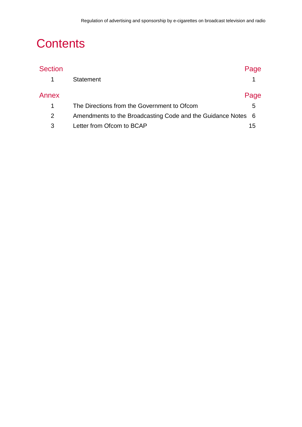# **Contents**

| <b>Section</b> |                                                              | Page |
|----------------|--------------------------------------------------------------|------|
| 1              | Statement                                                    |      |
| Annex          |                                                              | Page |
|                | The Directions from the Government to Ofcom                  | 5    |
| 2              | Amendments to the Broadcasting Code and the Guidance Notes 6 |      |
| 3              | Letter from Ofcom to BCAP                                    | 15   |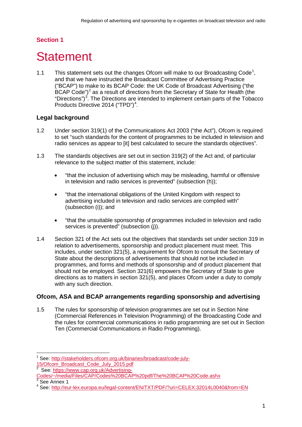# **Section 1**

# <span id="page-5-0"></span>**Statement**

[1](#page-5-1).1 This statement sets out the changes Ofcom will make to our Broadcasting Code<sup>1</sup>, and that we have instructed the Broadcast Committee of Advertising Practice ("BCAP") to make to its BCAP Code: the UK Code of Broadcast Advertising ("the  $BCAP Code"$ <sup>[2](#page-5-2)</sup> as a result of directions from the Secretary of State for Health (the "Directions") $3$ . The Directions are intended to implement certain parts of the Tobacco Products Directive 201[4](#page-5-4) ("TPD")<sup>4</sup>.

# **Legal background**

- 1.2 Under section 319(1) of the Communications Act 2003 ("the Act"), Ofcom is required to set "such standards for the content of programmes to be included in television and radio services as appear to [it] best calculated to secure the standards objectives".
- 1.3 The standards objectives are set out in section 319(2) of the Act and, of particular relevance to the subject matter of this statement, include:
	- "that the inclusion of advertising which may be misleading, harmful or offensive in television and radio services is prevented" (subsection (h));
	- "that the international obligations of the United Kingdom with respect to advertising included in television and radio services are complied with" (subsection (i)); and
	- "that the unsuitable sponsorship of programmes included in television and radio services is prevented" (subsection (i)).
- 1.4 Section 321 of the Act sets out the objectives that standards set under section 319 in relation to advertisements, sponsorship and product placement must meet. This includes, under section 321(5), a requirement for Ofcom to consult the Secretary of State about the descriptions of advertisements that should not be included in programmes, and forms and methods of sponsorship and of product placement that should not be employed. Section 321(6) empowers the Secretary of State to give directions as to matters in section 321(5), and places Ofcom under a duty to comply with any such direction.

# **Ofcom, ASA and BCAP arrangements regarding sponsorship and advertising**

1.5 The rules for sponsorship of television programmes are set out in Section Nine (Commercial References in Television Programming) of the Broadcasting Code and the rules for commercial communications in radio programming are set out in Section Ten (Commercial Communications in Radio Programming).

<sup>1</sup> See: [http://stakeholders.ofcom.org.uk/binaries/broadcast/code-july-](http://stakeholders.ofcom.org.uk/binaries/broadcast/code-july-15/Ofcom_Broadcast_Code_July_2015.pdf) $\overline{a}$ 

<span id="page-5-2"></span><span id="page-5-1"></span>[<sup>15/</sup>Ofcom\\_Broadcast\\_Code\\_July\\_2015.pdf](http://stakeholders.ofcom.org.uk/binaries/broadcast/code-july-15/Ofcom_Broadcast_Code_July_2015.pdf) 2 See: [https://www.cap.org.uk/Advertising-](https://www.cap.org.uk/Advertising-Codes/%7E/media/Files/CAP/Codes%20BCAP%20pdf/The%20BCAP%20Code.ashx)

[Codes/~/media/Files/CAP/Codes%20BCAP%20pdf/The%20BCAP%20Code.ashx](https://www.cap.org.uk/Advertising-Codes/%7E/media/Files/CAP/Codes%20BCAP%20pdf/The%20BCAP%20Code.ashx) See Annex 1

<span id="page-5-4"></span><span id="page-5-3"></span><sup>4</sup> See:<http://eur-lex.europa.eu/legal-content/EN/TXT/PDF/?uri=CELEX:32014L0040&from=EN>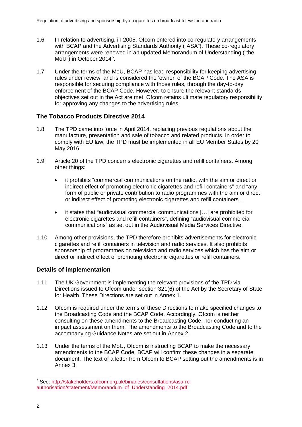- 1.6 In relation to advertising, in 2005, Ofcom entered into co-regulatory arrangements with BCAP and the Advertising Standards Authority ("ASA"). These co-regulatory arrangements were renewed in an updated Memorandum of Understanding ("the MoU") in October 2014<sup>[5](#page-6-0)</sup>.
- 1.7 Under the terms of the MoU, BCAP has lead responsibility for keeping advertising rules under review, and is considered the 'owner' of the BCAP Code. The ASA is responsible for securing compliance with those rules, through the day-to-day enforcement of the BCAP Code. However, to ensure the relevant standards objectives set out in the Act are met, Ofcom retains ultimate regulatory responsibility for approving any changes to the advertising rules.

# **The Tobacco Products Directive 2014**

- 1.8 The TPD came into force in April 2014, replacing previous regulations about the manufacture, presentation and sale of tobacco and related products. In order to comply with EU law, the TPD must be implemented in all EU Member States by 20 May 2016.
- 1.9 Article 20 of the TPD concerns electronic cigarettes and refill containers. Among other things:
	- it prohibits "commercial communications on the radio, with the aim or direct or indirect effect of promoting electronic cigarettes and refill containers" and "any form of public or private contribution to radio programmes with the aim or direct or indirect effect of promoting electronic cigarettes and refill containers".
	- it states that "audiovisual commercial communications […] are prohibited for electronic cigarettes and refill containers", defining "audiovisual commercial communications" as set out in the Audiovisual Media Services Directive.
- 1.10 Among other provisions, the TPD therefore prohibits advertisements for electronic cigarettes and refill containers in television and radio services. It also prohibits sponsorship of programmes on television and radio services which has the aim or direct or indirect effect of promoting electronic cigarettes or refill containers.

# **Details of implementation**

- 1.11 The UK Government is implementing the relevant provisions of the TPD via Directions issued to Ofcom under section 321(6) of the Act by the Secretary of State for Health. These Directions are set out in Annex 1.
- 1.12 Ofcom is required under the terms of these Directions to make specified changes to the Broadcasting Code and the BCAP Code. Accordingly, Ofcom is neither consulting on these amendments to the Broadcasting Code, nor conducting an impact assessment on them. The amendments to the Broadcasting Code and to the accompanying Guidance Notes are set out in Annex 2.
- 1.13 Under the terms of the MoU, Ofcom is instructing BCAP to make the necessary amendments to the BCAP Code. BCAP will confirm these changes in a separate document. The text of a letter from Ofcom to BCAP setting out the amendments is in Annex 3.

<span id="page-6-0"></span><sup>&</sup>lt;sup>5</sup> See: [http://stakeholders.ofcom.org.uk/binaries/consultations/asa-re](http://stakeholders.ofcom.org.uk/binaries/consultations/asa-re-authorisation/statement/Memorandum_of_Understanding_2014.pdf)[authorisation/statement/Memorandum\\_of\\_Understanding\\_2014.pdf](http://stakeholders.ofcom.org.uk/binaries/consultations/asa-re-authorisation/statement/Memorandum_of_Understanding_2014.pdf)  $\overline{a}$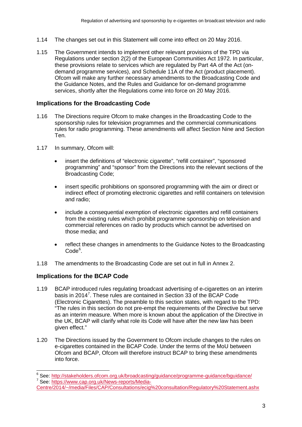- 1.14 The changes set out in this Statement will come into effect on 20 May 2016.
- 1.15 The Government intends to implement other relevant provisions of the TPD via Regulations under section 2(2) of the European Communities Act 1972. In particular, these provisions relate to services which are regulated by Part 4A of the Act (ondemand programme services), and Schedule 11A of the Act (product placement). Ofcom will make any further necessary amendments to the Broadcasting Code and the Guidance Notes, and the Rules and Guidance for on-demand programme services, shortly after the Regulations come into force on 20 May 2016.

# **Implications for the Broadcasting Code**

- 1.16 The Directions require Ofcom to make changes in the Broadcasting Code to the sponsorship rules for television programmes and the commercial communications rules for radio programming. These amendments will affect Section Nine and Section Ten.
- 1.17 In summary, Ofcom will:
	- insert the definitions of "electronic cigarette", "refill container", "sponsored programming" and "sponsor" from the Directions into the relevant sections of the Broadcasting Code;
	- insert specific prohibitions on sponsored programming with the aim or direct or indirect effect of promoting electronic cigarettes and refill containers on television and radio;
	- include a consequential exemption of electronic cigarettes and refill containers from the existing rules which prohibit programme sponsorship on television and commercial references on radio by products which cannot be advertised on those media; and
	- reflect these changes in amendments to the Guidance Notes to the Broadcasting  $Code<sup>6</sup>$  $Code<sup>6</sup>$  $Code<sup>6</sup>$ .
- 1.18 The amendments to the Broadcasting Code are set out in full in Annex 2.

# **Implications for the BCAP Code**

 $\overline{a}$ 

- 1.19 BCAP introduced rules regulating broadcast advertising of e-cigarettes on an interim basis in 2014<sup>[7](#page-7-1)</sup>. These rules are contained in Section 33 of the BCAP Code (Electronic Cigarettes). The preamble to this section states, with regard to the TPD: "The rules in this section do not pre-empt the requirements of the Directive but serve as an interim measure. When more is known about the application of the Directive in the UK, BCAP will clarify what role its Code will have after the new law has been given effect."
- 1.20 The Directions issued by the Government to Ofcom include changes to the rules on e-cigarettes contained in the BCAP Code. Under the terms of the MoU between Ofcom and BCAP, Ofcom will therefore instruct BCAP to bring these amendments into force.

<span id="page-7-0"></span><sup>&</sup>lt;sup>6</sup> See: <u>http://stakeholders.ofcom.org.uk/broadcasting/guidance/programme-guidance/bguidance/<br><sup>7</sup> See: <u>https://www.cap.org.uk/News-reports/Media-</u></u>

<span id="page-7-1"></span>[Centre/2014/~/media/Files/CAP/Consultations/ecig%20consultation/Regulatory%20Statement.ashx](https://www.cap.org.uk/News-reports/Media-Centre/2014/%7E/media/Files/CAP/Consultations/ecig%20consultation/Regulatory%20Statement.ashx)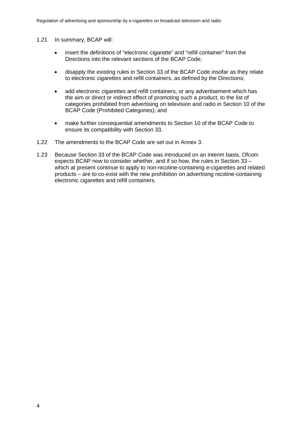- 1.21 In summary, BCAP will:
	- insert the definitions of "electronic cigarette" and "refill container" from the Directions into the relevant sections of the BCAP Code;
	- disapply the existing rules in Section 33 of the BCAP Code insofar as they relate to electronic cigarettes and refill containers, as defined by the Directions;
	- add electronic cigarettes and refill containers, or any advertisement which has the aim or direct or indirect effect of promoting such a product, to the list of categories prohibited from advertising on television and radio in Section 10 of the BCAP Code (Prohibited Categories); and
	- make further consequential amendments to Section 10 of the BCAP Code to ensure its compatibility with Section 33.
- 1.22 The amendments to the BCAP Code are set out in Annex 3.
- 1.23 Because Section 33 of the BCAP Code was introduced on an interim basis, Ofcom expects BCAP now to consider whether, and if so how, the rules in Section 33 – which at present continue to apply to non-nicotine-containing e-cigarettes and related products – are to co-exist with the new prohibition on advertising nicotine-containing electronic cigarettes and refill containers.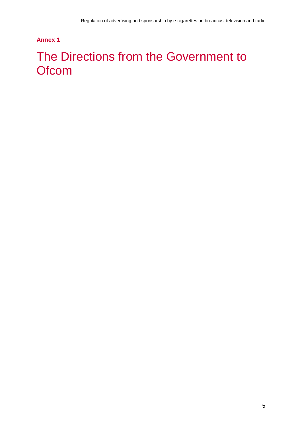# **Annex 1**

# <span id="page-9-0"></span>The Directions from the Government to **Ofcom**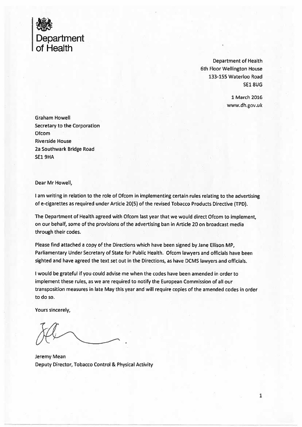

**Department of Health** 6th Floor Wellington House 133-155 Waterloo Road **SE1 8UG** 

> 1 March 2016 www.dh.gov.uk

> > 1

**Graham Howell** Secretary to the Corporation **Ofcom Riverside House** 2a Southwark Bridge Road SE1 9HA

Dear Mr Howell,

I am writing in relation to the role of Ofcom in implementing certain rules relating to the advertising of e-cigarettes as required under Article 20(5) of the revised Tobacco Products Directive (TPD).

The Department of Health agreed with Ofcom last year that we would direct Ofcom to implement, on our behalf, some of the provisions of the advertising ban in Article 20 on broadcast media through their codes.

Please find attached a copy of the Directions which have been signed by Jane Ellison MP, Parliamentary Under Secretary of State for Public Health. Ofcom lawyers and officials have been sighted and have agreed the text set out in the Directions, as have DCMS lawyers and officials.

I would be grateful if you could advise me when the codes have been amended in order to implement these rules, as we are required to notify the European Commission of all our transposition measures in late May this year and will require copies of the amended codes in order to do so.

Yours sincerely,

Jeremy Mean Deputy Director, Tobacco Control & Physical Activity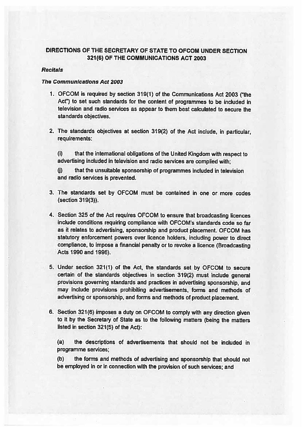# DIRECTIONS OF THE SECRETARY OF STATE TO OFCOM UNDER SECTION 321(6) OF THE COMMUNICATIONS ACT 2003

#### **Recitals**

### **The Communications Act 2003**

- 1. OFCOM is required by section 319(1) of the Communications Act 2003 ("the Act") to set such standards for the content of programmes to be included in television and radio services as appear to them best calculated to secure the standards objectives.
- 2. The standards objectives at section 319(2) of the Act include, in particular, requirements:

 $(i)$ that the international obligations of the United Kingdom with respect to advertising included in television and radio services are complied with:

 $(i)$ that the unsuitable sponsorship of programmes included in television and radio services is prevented.

- 3. The standards set by OFCOM must be contained in one or more codes (section 319(3)).
- 4. Section 325 of the Act requires OFCOM to ensure that broadcasting licences include conditions requiring compliance with OFCOM's standards code so far as it relates to advertising, sponsorship and product placement. OFCOM has statutory enforcement powers over licence holders, including power to direct compliance, to impose a financial penalty or to revoke a licence (Broadcasting Acts 1990 and 1996).
- 5. Under section 321(1) of the Act, the standards set by OFCOM to secure certain of the standards objectives in section 319(2) must include general provisions governing standards and practices in advertising sponsorship, and may include provisions prohibiting advertisements, forms and methods of advertising or sponsorship, and forms and methods of product placement.
- 6. Section 321(6) imposes a duty on OFCOM to comply with any direction given to it by the Secretary of State as to the following matters (being the matters listed in section 321(5) of the Act):

 $(a)$ the descriptions of advertisements that should not be included in programme services;

 $(b)$ the forms and methods of advertising and sponsorship that should not be employed in or in connection with the provision of such services; and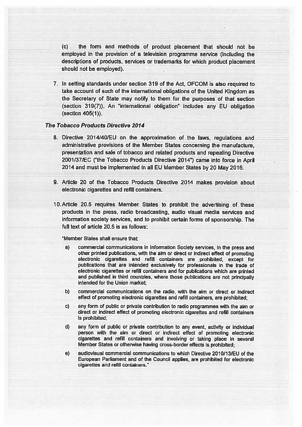$(c)$ the form and methods of product placement that should not be employed in the provision of a television programme service (including the descriptions of products, services or trademarks for which product placement should not be employed).

7. In setting standards under section 319 of the Act, OFCOM is also required to take account of such of the international obligations of the United Kingdom as the Secretary of State may notify to them for the purposes of that section (section 319(7)). An "international obligation" includes any EU obligation (section 405(1)).

### **The Tobacco Products Directive 2014**

- 8. Directive 2014/40/EU on the approximation of the laws, regulations and administrative provisions of the Member States concerning the manufacture. presentation and sale of tobacco and related products and repealing Directive 2001/37/EC ("the Tobacco Products Directive 2014") came into force in April 2014 and must be implemented in all EU Member States by 20 May 2016.
- 9. Article 20 of the Tobacco Products Directive 2014 makes provision about electronic cigarettes and refill containers.
- 10. Article 20.5 requires Member States to prohibit the advertising of these products in the press, radio broadcasting, audio visual media services and information society services, and to prohibit certain forms of sponsorship. The full text of article 20.5 is as follows:

"Member States shall ensure that:

- commercial communications in Information Society services, in the press and  $a)$ other printed publications, with the aim or direct or indirect effect of promoting electronic cigarettes and refill containers are prohibited, except for publications that are intended exclusively for professionals in the trade of electronic cigarettes or refill containers and for publications which are printed and published in third countries, where those publications are not principally intended for the Union market:
- commercial communications on the radio, with the aim or direct or indirect  $b)$ effect of promoting electronic cigarettes and refill containers, are prohibited;
- any form of public or private contribution to radio programmes with the aim or  $c)$ direct or indirect effect of promoting electronic cigarettes and refill containers is prohibited;
- $d)$ any form of public or private contribution to any event, activity or individual person with the aim or direct or indirect effect of promoting electronic cigarettes and refill containers and involving or taking place in several Member States or otherwise having cross-border effects is prohibited:
- $e)$ audiovisual commercial communications to which Directive 2010/13/EU of the European Parliament and of the Council applies, are prohibited for electronic cigarettes and refill containers."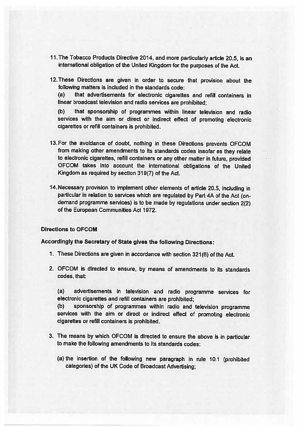- 11. The Tobacco Products Directive 2014, and more particularly article 20.5, is an international obligation of the United Kingdom for the purposes of the Act.
- 12. These Directions are given in order to secure that provision about the following matters is included in the standards code:

that advertisements for electronic cigarettes and refill containers in  $(a)$ linear broadcast television and radio services are prohibited;

that sponsorship of programmes within linear television and radio  $(b)$ services with the aim or direct or indirect effect of promoting electronic cigarettes or refill containers is prohibited.

- 13. For the avoidance of doubt, nothing in these Directions prevents OFCOM from making other amendments to its standards codes insofar as they relate to electronic cigarettes, refill containers or any other matter in future, provided OFCOM takes into account the international obligations of the United Kingdom as required by section 319(7) of the Act.
- 14. Necessary provision to implement other elements of article 20.5, including in particular in relation to services which are regulated by Part 4A of the Act (ondemand programme services) is to be made by regulations under section 2(2) of the European Communities Act 1972.

#### **Directions to OFCOM**

### Accordingly the Secretary of State gives the following Directions:

- 1. These Directions are given in accordance with section 321(6) of the Act.
- 2. OFCOM is directed to ensure, by means of amendments to its standards codes, that:

advertisements in television and radio programme services for  $(a)$ electronic cigarettes and refill containers are prohibited;

sponsorship of programmes within radio and television programme  $(b)$ services with the aim or direct or indirect effect of promoting electronic cigarettes or refill containers is prohibited.

- 3. The means by which OFCOM is directed to ensure the above is in particular to make the following amendments to its standards codes:
	- (a) the insertion of the following new paragraph in rule 10.1 (prohibited categories) of the UK Code of Broadcast Advertising;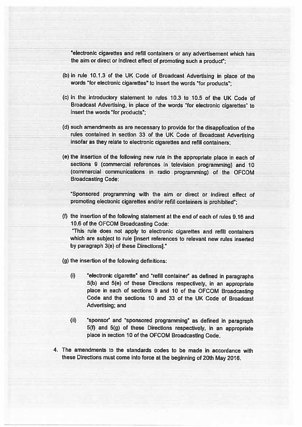"electronic cigarettes and refill containers or any advertisement which has the aim or direct or indirect effect of promoting such a product":

- (b) in rule 10.1.3 of the UK Code of Broadcast Advertising in place of the words "for electronic cigarettes" to insert the words "for products":
- (c) in the introductory statement to rules 10.3 to 10.5 of the UK Code of Broadcast Advertising, in place of the words "for electronic cigarettes" to insert the words "for products":
- (d) such amendments as are necessary to provide for the disapplication of the rules contained in section 33 of the UK Code of Broadcast Advertising insofar as they relate to electronic cigarettes and refill containers:
- (e) the insertion of the following new rule in the appropriate place in each of sections 9 (commercial references in television programming) and 10 (commercial communications in radio programming) of the OFCOM **Broadcasting Code:**

"Sponsored programming with the aim or direct or indirect effect of promoting electronic cigarettes and/or refill containers is prohibited":

(f) the insertion of the following statement at the end of each of rules 9.16 and 10.6 of the OFCOM Broadcasting Code:

"This rule does not apply to electronic cigarettes and refill containers which are subject to rule finsert references to relevant new rules inserted by paragraph 3(e) of these Directions)."

- (g) the insertion of the following definitions:
	- $(i)$ "electronic cigarette" and "refill container" as defined in paragraphs 5(b) and 5(e) of these Directions respectively, in an appropriate place in each of sections 9 and 10 of the OFCOM Broadcasting Code and the sections 10 and 33 of the UK Code of Broadcast Advertising; and
	- $(ii)$ "sponsor" and "sponsored programming" as defined in paragraph 5(f) and 5(g) of these Directions respectively, in an appropriate place in section 10 of the OFCOM Broadcasting Code.
- 4. The amendments to the standards codes to be made in accordance with these Directions must come into force at the beginning of 20th May 2016.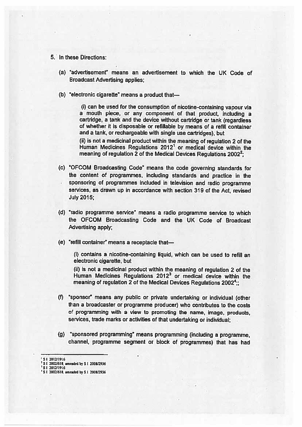- 5. In these Directions:
	- (a) "advertisement" means an advertisement to which the UK Code of **Broadcast Advertising applies:**
	- (b) "electronic cigarette" means a product that-

(i) can be used for the consumption of nicotine-containing vapour via a mouth piece, or any component of that product, including a cartridge, a tank and the device without cartridge or tank (regardless of whether it is disposable or refillable by means of a refill container and a tank, or rechargeable with single use cartridges), but

(ii) is not a medicinal product within the meaning of regulation 2 of the Human Medicines Regulations 2012<sup>1</sup> or medical device within the meaning of regulation 2 of the Medical Devices Regulations 2002<sup>2</sup>:

- (c) "OFCOM Broadcasting Code" means the code governing standards for the content of programmes, including standards and practice in the sponsoring of programmes included in television and radio programme services, as drawn up in accordance with section 319 of the Act, revised **July 2015:**
- (d) "radio programme service" means a radio programme service to which the OFCOM Broadcasting Code and the UK Code of Broadcast Advertising apply:
- (e) "refill container" means a receptacle that-

(i) contains a nicotine-containing liquid, which can be used to refill an electronic cigarette, but

(ii) is not a medicinal product within the meaning of regulation 2 of the Human Medicines Regulations 2012<sup>3</sup> or medical device within the meaning of regulation 2 of the Medical Devices Regulations 2002<sup>4</sup>;;

- (f) "sponsor" means any public or private undertaking or individual (other than a broadcaster or programme producer) who contributes to the costs of programming with a view to promoting the name, image, products, services, trade marks or activities of that undertaking or individual;
- (g) "sponsored programming" means programming (including a programme, channel, programme segment or block of programmes) that has had
- S1 2012/1916

<sup>&</sup>lt;sup>2</sup> S I 2002/618, amended by S I 2008/2936 <sup>1</sup>S1 2012/1916

<sup>&</sup>lt;sup>4</sup> S I 2002/618, amended by S I 2008/2936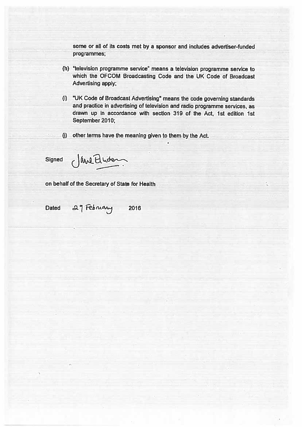some or all of its costs met by a sponsor and includes advertiser-funded programmes;

- (h) "television programme service" means a television programme service to which the OFCOM Broadcasting Code and the UK Code of Broadcast Advertising apply:
- (i) "UK Code of Broadcast Advertising" means the code governing standards and practice in advertising of television and radio programme services, as drawn up in accordance with section 319 of the Act, 1st edition 1st September 2010;
- (i) other terms have the meaning given to them by the Act.

Signed Jane Elios

on behalf of the Secretary of State for Health

29 February

**Dated** 

2016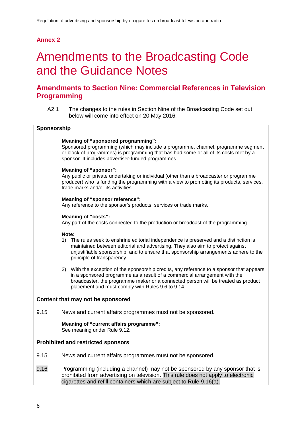# **Annex 2**

# <span id="page-17-0"></span>2 Amendments to the Broadcasting Code and the Guidance Notes

# **Amendments to Section Nine: Commercial References in Television Programming**

A2.1 The changes to the rules in Section Nine of the Broadcasting Code set out below will come into effect on 20 May 2016:

### **Sponsorship**

### **Meaning of "sponsored programming":**

Sponsored programming (which may include a programme, channel, programme segment or block of programmes) is programming that has had some or all of its costs met by a sponsor. It includes advertiser-funded programmes.

#### **Meaning of "sponsor":**

Any public or private undertaking or individual (other than a broadcaster or programme producer) who is funding the programming with a view to promoting its products, services, trade marks and/or its activities.

#### **Meaning of "sponsor reference":**

Any reference to the sponsor's products, services or trade marks.

#### **Meaning of "costs":**

Any part of the costs connected to the production or broadcast of the programming.

#### **Note:**

- 1) The rules seek to enshrine editorial independence is preserved and a distinction is maintained between editorial and advertising. They also aim to protect against unjustifiable sponsorship, and to ensure that sponsorship arrangements adhere to the principle of transparency.
- 2) With the exception of the sponsorship credits, any reference to a sponsor that appears in a sponsored programme as a result of a commercial arrangement with the broadcaster, the programme maker or a connected person will be treated as product placement and must comply with Rules 9.6 to 9.14.

### **Content that may not be sponsored**

9.15 News and current affairs programmes must not be sponsored.

### **Meaning of "current affairs programme":** See meaning under Rule 9.12.

### **Prohibited and restricted sponsors**

- 9.15 News and current affairs programmes must not be sponsored.
- 9.16 Programming (including a channel) may not be sponsored by any sponsor that is prohibited from advertising on television. This rule does not apply to electronic cigarettes and refill containers which are subject to Rule 9.16(a).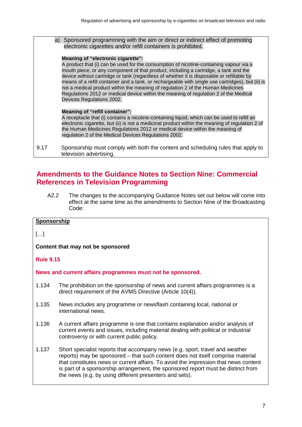a) Sponsored programming with the aim or direct or indirect effect of promoting electronic cigarettes and/or refill containers is prohibited.

### **Meaning of "electronic cigarette":**

A product that (i) can be used for the consumption of nicotine-containing vapour via a mouth piece, or any component of that product, including a cartridge, a tank and the device without cartridge or tank (regardless of whether it is disposable or refillable by means of a refill container and a tank, or rechargeable with single use cartridges), but (ii) is not a medical product within the meaning of regulation 2 of the Human Medicines Regulations 2012 or medical device within the meaning of regulation 2 of the Medical Devices Regulations 2002.

### **Meaning of "refill container":**

A receptacle that (i) contains a nicotine-containing liquid, which can be used to refill an electronic cigarette, but (ii) is not a medicinal product within the meaning of regulation 2 of the Human Medicines Regulations 2012 or medical device within the meaning of regulation 2 of the Medical Devices Regulations 2002.

# **Amendments to the Guidance Notes to Section Nine: Commercial References in Television Programming**

A2.2 The changes to the accompanying Guidance Notes set out below will come into effect at the same time as the amendments to Section Nine of the Broadcasting Code:

## **Sponsorship**

 $\left[\ldots\right]$ 

**Content that may not be sponsored**

### **Rule 9.15**

**News and current affairs programmes must not be sponsored.**

- 1.134 The prohibition on the sponsorship of news and current affairs programmes is a direct requirement of the AVMS Directive (Article 10(4)).
- 1.135 News includes any programme or newsflash containing local, national or international news.
- 1.136 A current affairs programme is one that contains explanation and/or analysis of current events and issues, including material dealing with political or industrial controversy or with current public policy.
- 1.137 Short specialist reports that accompany news (e.g. sport, travel and weather reports) may be sponsored – that such content does not itself comprise material that constitutes news or current affairs. To avoid the impression that news content is part of a sponsorship arrangement, the sponsored report must be distinct from the news (e.g. by using different presenters and sets).

<sup>9.17</sup> Sponsorship must comply with both the content and scheduling rules that apply to television advertising.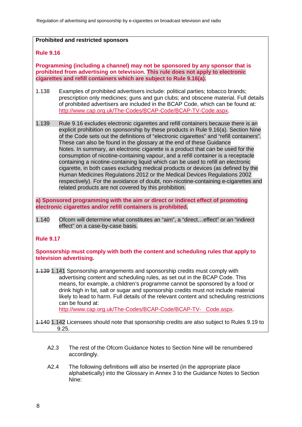### **Prohibited and restricted sponsors**

## **Rule 9.16**

**Programming (including a channel) may not be sponsored by any sponsor that is prohibited from advertising on television. This rule does not apply to electronic cigarettes and refill containers which are subject to Rule 9.16(a).**

- 1.138 Examples of prohibited advertisers include: political parties; tobacco brands; prescription only medicines; guns and gun clubs; and obscene material. Full details of prohibited advertisers are included in the BCAP Code, which can be found at: [http://www.cap.org.uk/The-Codes/BCAP-Code/BCAP-TV-Code.aspx.](http://www.cap.org.uk/The-Codes/BCAP-Code/BCAP-TV-Code.aspx)
- 1.139 Rule 9.16 excludes electronic cigarettes and refill containers because there is an explicit prohibition on sponsorship by these products in Rule 9.16(a). Section Nine of the Code sets out the definitions of "electronic cigarettes" and "refill containers". These can also be found in the glossary at the end of these Guidance Notes. In summary, an electronic cigarette is a product that can be used for the consumption of nicotine-containing vapour, and a refill container is a receptacle containing a nicotine-containing liquid which can be used to refill an electronic cigarette, in both cases excluding medical products or devices (as defined by the Human Medicines Regulations 2012 or the Medical Devices Regulations 2002 respectively). For the avoidance of doubt, non-nicotine-containing e-cigarettes and related products are not covered by this prohibition.

**a) Sponsored programming with the aim or direct or indirect effect of promoting electronic cigarettes and/or refill containers is prohibited.**

1.140 Ofcom will determine what constitutes an "aim", a "direct…effect" or an "indirect effect" on a case-by-case basis.

## **Rule 9.17**

**Sponsorship must comply with both the content and scheduling rules that apply to television advertising.**

1.139 1.141 Sponsorship arrangements and sponsorship credits must comply with advertising content and scheduling rules, as set out in the BCAP Code. This means, for example, a children's programme cannot be sponsored by a food or drink high in fat, salt or sugar and sponsorship credits must not include material likely to lead to harm. Full details of the relevant content and scheduling restrictions can be found at: [http://www.cap.org.uk/The-Codes/BCAP-Code/BCAP-TV- Code.aspx.](http://www.cap.org.uk/The-Codes/BCAP-Code/BCAP-TV-%20%20%20Code.aspx)

1.140 1.142 Licensees should note that sponsorship credits are also subject to Rules 9.19 to

9.25.

- A2.3 The rest of the Ofcom Guidance Notes to Section Nine will be renumbered accordingly.
- A2.4 The following definitions will also be inserted (in the appropriate place alphabetically) into the Glossary in Annex 3 to the Guidance Notes to Section Nine: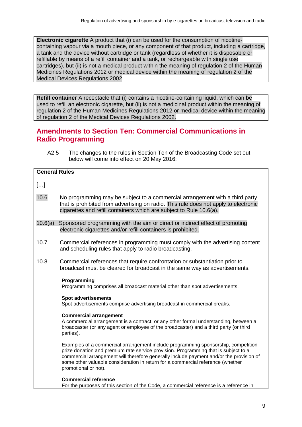**Electronic cigarette** A product that (i) can be used for the consumption of nicotinecontaining vapour via a mouth piece, or any component of that product, including a cartridge, a tank and the device without cartridge or tank (regardless of whether it is disposable or refillable by means of a refill container and a tank, or rechargeable with single use cartridges), but (ii) is not a medical product within the meaning of regulation 2 of the Human Medicines Regulations 2012 or medical device within the meaning of regulation 2 of the Medical Devices Regulations 2002.

**Refill container** A receptacle that (i) contains a nicotine-containing liquid, which can be used to refill an electronic cigarette, but (ii) is not a medicinal product within the meaning of regulation 2 of the Human Medicines Regulations 2012 or medical device within the meaning of regulation 2 of the Medical Devices Regulations 2002.

# **Amendments to Section Ten: Commercial Communications in Radio Programming**

A2.5 The changes to the rules in Section Ten of the Broadcasting Code set out below will come into effect on 20 May 2016:

# **General Rules**

[…]

- 10.6 No programming may be subject to a commercial arrangement with a third party that is prohibited from advertising on radio. This rule does not apply to electronic cigarettes and refill containers which are subject to Rule 10.6(a).
- 10.6(a) Sponsored programming with the aim or direct or indirect effect of promoting electronic cigarettes and/or refill containers is prohibited.
- 10.7 Commercial references in programming must comply with the advertising content and scheduling rules that apply to radio broadcasting.
- 10.8 Commercial references that require confrontation or substantiation prior to broadcast must be cleared for broadcast in the same way as advertisements.

## **Programming**

Programming comprises all broadcast material other than spot advertisements.

## **Spot advertisements**

Spot advertisements comprise advertising broadcast in commercial breaks.

## **Commercial arrangement**

A commercial arrangement is a contract, or any other formal understanding, between a broadcaster (or any agent or employee of the broadcaster) and a third party (or third parties).

Examples of a commercial arrangement include programming sponsorship, competition prize donation and premium rate service provision. Programming that is subject to a commercial arrangement will therefore generally include payment and/or the provision of some other valuable consideration in return for a commercial reference (whether promotional or not).

### **Commercial reference**

For the purposes of this section of the Code, a commercial reference is a reference in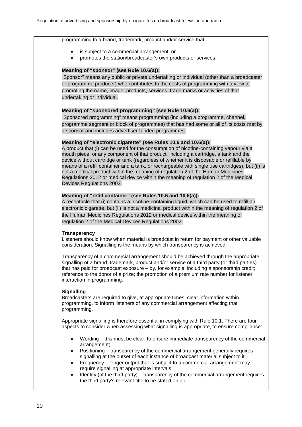programming to a brand, trademark, product and/or service that:

- is subject to a commercial arrangement; or
- promotes the station/broadcaster's own products or services.

#### **Meaning of "sponsor" (see Rule 10.6(a)):**

"Sponsor" means any public or private undertaking or individual (other than a broadcaster or programme producer) who contributes to the costs of programming with a view to promoting the name, image, products, services, trade marks or activities of that undertaking or individual.

#### **Meaning of "sponsored programming" (see Rule 10.6(a)):**

"Sponsored programming" means programming (including a programme, channel, programme segment or block of programmes) that has had some or all of its costs met by a sponsor and includes advertiser-funded programmes.

#### **Meaning of "electronic cigarette" (see Rules 10.6 and 10.6(a)):**

A product that (i) can be used for the consumption of nicotine-containing vapour via a mouth piece, or any component of that product, including a cartridge, a tank and the device without cartridge or tank (regardless of whether it is disposable or refillable by means of a refill container and a tank, or rechargeable with single use cartridges), but (ii) is not a medical product within the meaning of regulation 2 of the Human Medicines Regulations 2012 or medical device within the meaning of regulation 2 of the Medical Devices Regulations 2002.

#### **Meaning of "refill container" (see Rules 10.6 and 10.6(a)):**

A receptacle that (i) contains a nicotine-containing liquid, which can be used to refill an electronic cigarette, but (ii) is not a medicinal product within the meaning of regulation 2 of the Human Medicines Regulations 2012 or medical device within the meaning of regulation 2 of the Medical Devices Regulations 2002.

#### **Transparency**

Listeners should know when material is broadcast in return for payment or other valuable consideration. Signalling is the means by which transparency is achieved.

Transparency of a commercial arrangement should be achieved through the appropriate signalling of a brand, trademark, product and/or service of a third party (or third parties) that has paid for broadcast exposure – by, for example: including a sponsorship credit; reference to the donor of a prize; the promotion of a premium rate number for listener interaction in programming.

#### **Signalling**

Broadcasters are required to give, at appropriate times, clear information within programming, to inform listeners of any commercial arrangement affecting that programming.

Appropriate signalling is therefore essential in complying with Rule 10.1. There are four aspects to consider when assessing what signalling is appropriate, to ensure compliance:

- Wording this must be clear, to ensure immediate transparency of the commercial arrangement;
- Positioning transparency of the commercial arrangement generally requires signalling at the outset of each instance of broadcast material subject to it;
- Frequency longer output that is subject to a commercial arrangement may require signalling at appropriate intervals;
- Identity (of the third party) transparency of the commercial arrangement requires the third party's relevant title to be stated on air.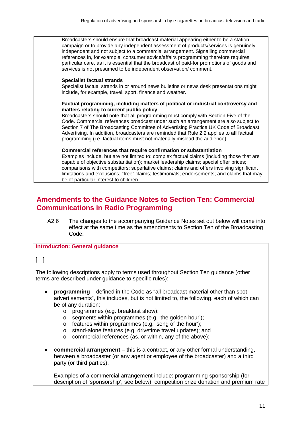Broadcasters should ensure that broadcast material appearing either to be a station campaign or to provide any independent assessment of products/services is genuinely independent and not subject to a commercial arrangement. Signalling commercial references in, for example, consumer advice/affairs programming therefore requires particular care, as it is essential that the broadcast of paid-for promotions of goods and services is not presumed to be independent observation/ comment.

### **Specialist factual strands**

Specialist factual strands in or around news bulletins or news desk presentations might include, for example, travel, sport, finance and weather.

#### **Factual programming, including matters of political or industrial controversy and matters relating to current public policy**

Broadcasters should note that all programming must comply with Section Five of the Code. Commercial references broadcast under such an arrangement are also subject to Section 7 of The Broadcasting Committee of Advertising Practice UK Code of Broadcast Advertising. In addition, broadcasters are reminded that Rule 2.2 applies to **all** factual programming (i.e. factual items must not materially mislead the audience).

#### **Commercial references that require confirmation or substantiation**

Examples include, but are not limited to: complex factual claims (including those that are capable of objective substantiation); market leadership claims; special offer prices; comparisons with competitors; superlative claims; claims and offers involving significant limitations and exclusions; "free" claims; testimonials; endorsements; and claims that may be of particular interest to children.

# **Amendments to the Guidance Notes to Section Ten: Commercial Communications in Radio Programming**

A2.6 The changes to the accompanying Guidance Notes set out below will come into effect at the same time as the amendments to Section Ten of the Broadcasting Code:

### **Introduction: General guidance**

# […]

The following descriptions apply to terms used throughout Section Ten guidance (other terms are described under guidance to specific rules):

- **programming** defined in the Code as "all broadcast material other than spot advertisements", this includes, but is not limited to, the following, each of which can be of any duration:
	- o programmes (e.g. breakfast show);
	- o segments within programmes (e.g. 'the golden hour');
	- o features within programmes (e.g. 'song of the hour');
	- o stand-alone features (e.g. drivetime travel updates); and
	- o commercial references (as, or within, any of the above);
- **commercial arrangement** this is a contract, or any other formal understanding, between a broadcaster (or any agent or employee of the broadcaster) and a third party (or third parties).

Examples of a commercial arrangement include: programming sponsorship (for description of 'sponsorship', see below), competition prize donation and premium rate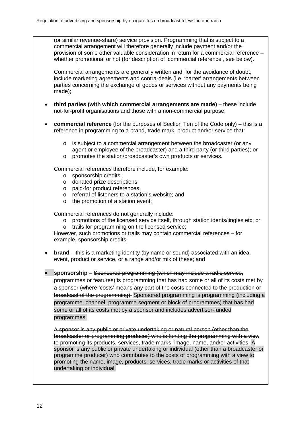(or similar revenue-share) service provision. Programming that is subject to a commercial arrangement will therefore generally include payment and/or the provision of some other valuable consideration in return for a commercial reference – whether promotional or not (for description of 'commercial reference', see below).

Commercial arrangements are generally written and, for the avoidance of doubt, include marketing agreements and contra-deals (i.e. 'barter' arrangements between parties concerning the exchange of goods or services without any payments being made);

- **third parties (with which commercial arrangements are made)** these include not-for-profit organisations and those with a non-commercial purpose;
- **commercial reference** (for the purposes of Section Ten of the Code only) this is a reference in programming to a brand, trade mark, product and/or service that:
	- $\circ$  is subject to a commercial arrangement between the broadcaster (or any agent or employee of the broadcaster) and a third party (or third parties); or
	- o promotes the station/broadcaster's own products or services.

Commercial references therefore include, for example:

- o sponsorship credits;
- o donated prize descriptions;
- o paid-for product references;
- o referral of listeners to a station's website; and
- o the promotion of a station event;

Commercial references do not generally include:

- o promotions of the licensed service itself, through station idents/jingles etc; or
- o trails for programming on the licensed service;

However, such promotions or trails may contain commercial references – for example, sponsorship credits;

• **brand** – this is a marketing identity (by name or sound) associated with an idea, event, product or service, or a range and/or mix of these; and

• **sponsorship** – Sponsored programming (which may include a radio service, programmes or features) is programming that has had some or all of its costs met by a sponsor (where 'costs' means any part of the costs connected to the production or broadcast of the programming). Sponsored programming is programming (including a programme, channel, programme segment or block of programmes) that has had some or all of its costs met by a sponsor and includes advertiser-funded programmes.

A sponsor is any public or private undertaking or natural person (other than the broadcaster or programming producer) who is funding the programming with a view to promoting its products, services, trade marks, image, name, and/or activities. A sponsor is any public or private undertaking or individual (other than a broadcaster or programme producer) who contributes to the costs of programming with a view to promoting the name, image, products, services, trade marks or activities of that undertaking or individual.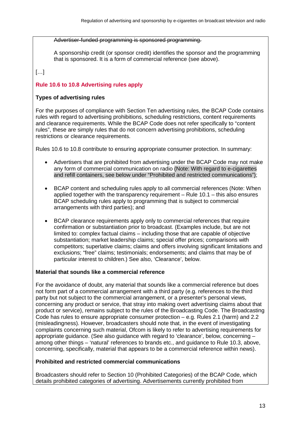### Advertiser-funded programming is sponsored programming.

A sponsorship credit (or sponsor credit) identifies the sponsor and the programming that is sponsored. It is a form of commercial reference (see above).

# […]

# **Rule 10.6 to 10.8 Advertising rules apply**

## **Types of advertising rules**

For the purposes of compliance with Section Ten advertising rules, the BCAP Code contains rules with regard to advertising prohibitions, scheduling restrictions, content requirements and clearance requirements. While the BCAP Code does not refer specifically to "content rules", these are simply rules that do not concern advertising prohibitions, scheduling restrictions or clearance requirements.

Rules 10.6 to 10.8 contribute to ensuring appropriate consumer protection. In summary:

- Advertisers that are prohibited from advertising under the BCAP Code may not make any form of commercial communication on radio (Note: With regard to e-cigarettes and refill containers, see below under "Prohibited and restricted communications");
- BCAP content and scheduling rules apply to all commercial references (Note: When applied together with the transparency requirement – Rule 10.1 – this also ensures BCAP scheduling rules apply to programming that is subject to commercial arrangements with third parties); and
- BCAP clearance requirements apply only to commercial references that require confirmation or substantiation prior to broadcast. (Examples include, but are not limited to: complex factual claims – including those that are capable of objective substantiation; market leadership claims; special offer prices; comparisons with competitors; superlative claims; claims and offers involving significant limitations and exclusions; "free" claims; testimonials; endorsements; and claims that may be of particular interest to children.) See also, 'Clearance', below.

### **Material that sounds like a commercial reference**

For the avoidance of doubt, any material that sounds like a commercial reference but does not form part of a commercial arrangement with a third party (e.g. references to the third party but not subject to the commercial arrangement, or a presenter's personal views, concerning any product or service, that stray into making overt advertising claims about that product or service), remains subject to the rules of the Broadcasting Code. The Broadcasting Code has rules to ensure appropriate consumer protection – e.g. Rules 2.1 (harm) and 2.2 (misleadingness). However, broadcasters should note that, in the event of investigating complaints concerning such material, Ofcom is likely to refer to advertising requirements for appropriate guidance. (See also guidance with regard to 'clearance', below, concerning – among other things – 'natural' references to brands etc., and guidance to Rule 10.3, above, concerning, specifically, material that appears to be a commercial reference within news).

## **Prohibited and restricted commercial communications**

Broadcasters should refer to Section 10 (Prohibited Categories) of the BCAP Code, which details prohibited categories of advertising. Advertisements currently prohibited from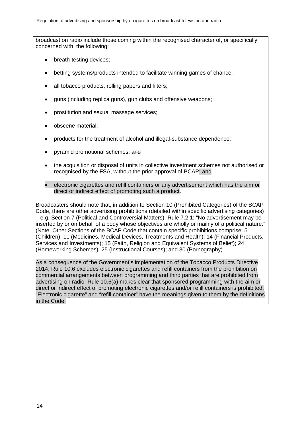broadcast on radio include those coming within the recognised character of, or specifically concerned with, the following:

- breath-testing devices;
- betting systems/products intended to facilitate winning games of chance;
- all tobacco products, rolling papers and filters;
- guns (including replica guns), gun clubs and offensive weapons;
- prostitution and sexual massage services;
- obscene material;
- products for the treatment of alcohol and illegal-substance dependence;
- pyramid promotional schemes; and
- the acquisition or disposal of units in collective investment schemes not authorised or recognised by the FSA, without the prior approval of BCAP; and
- electronic cigarettes and refill containers or any advertisement which has the aim or direct or indirect effect of promoting such a product.

Broadcasters should note that, in addition to Section 10 (Prohibited Categories) of the BCAP Code, there are other advertising prohibitions (detailed within specific advertising categories) – e.g. Section 7 (Political and Controversial Matters), Rule 7.2.1: "No advertisement may be inserted by or on behalf of a body whose objectives are wholly or mainly of a political nature." (Note: Other Sections of the BCAP Code that contain specific prohibitions comprise: 5 (Children); 11 (Medicines, Medical Devices, Treatments and Health); 14 (Financial Products, Services and Investments); 15 (Faith, Religion and Equivalent Systems of Belief); 24 (Homeworking Schemes); 25 (Instructional Courses); and 30 (Pornography).

As a consequence of the Government's implementation of the Tobacco Products Directive 2014, Rule 10.6 excludes electronic cigarettes and refill containers from the prohibition on commercial arrangements between programming and third parties that are prohibited from advertising on radio. Rule 10.6(a) makes clear that sponsored programming with the aim or direct or indirect effect of promoting electronic cigarettes and/or refill containers is prohibited. "Electronic cigarette" and "refill container" have the meanings given to them by the definitions in the Code.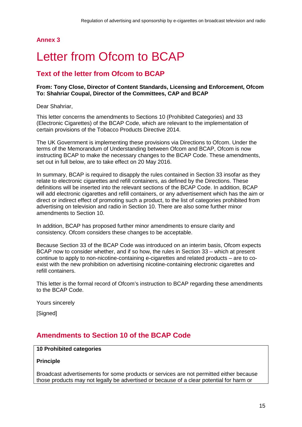# **Annex 3**

# <span id="page-26-0"></span>Letter from Ofcom to BCAP

# **Text of the letter from Ofcom to BCAP**

## **From: Tony Close, Director of Content Standards, Licensing and Enforcement, Ofcom To: Shahriar Coupal, Director of the Committees, CAP and BCAP**

Dear Shahriar,

This letter concerns the amendments to Sections 10 (Prohibited Categories) and 33 (Electronic Cigarettes) of the BCAP Code, which are relevant to the implementation of certain provisions of the Tobacco Products Directive 2014.

The UK Government is implementing these provisions via Directions to Ofcom. Under the terms of the Memorandum of Understanding between Ofcom and BCAP, Ofcom is now instructing BCAP to make the necessary changes to the BCAP Code. These amendments, set out in full below, are to take effect on 20 May 2016.

In summary, BCAP is required to disapply the rules contained in Section 33 insofar as they relate to electronic cigarettes and refill containers, as defined by the Directions. These definitions will be inserted into the relevant sections of the BCAP Code. In addition, BCAP will add electronic cigarettes and refill containers, or any advertisement which has the aim or direct or indirect effect of promoting such a product, to the list of categories prohibited from advertising on television and radio in Section 10. There are also some further minor amendments to Section 10.

In addition, BCAP has proposed further minor amendments to ensure clarity and consistency. Ofcom considers these changes to be acceptable.

Because Section 33 of the BCAP Code was introduced on an interim basis, Ofcom expects BCAP now to consider whether, and if so how, the rules in Section 33 – which at present continue to apply to non-nicotine-containing e-cigarettes and related products – are to coexist with the new prohibition on advertising nicotine-containing electronic cigarettes and refill containers.

This letter is the formal record of Ofcom's instruction to BCAP regarding these amendments to the BCAP Code.

Yours sincerely

[Signed]

# **Amendments to Section 10 of the BCAP Code**

# **10 Prohibited categories**

### **Principle**

Broadcast advertisements for some products or services are not permitted either because those products may not legally be advertised or because of a clear potential for harm or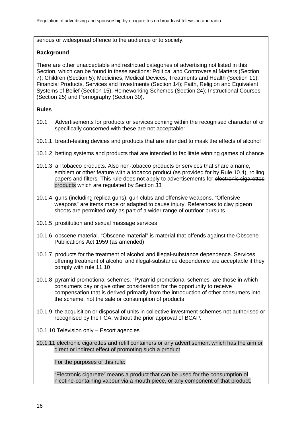serious or widespread offence to the audience or to society.

# **Background**

There are other unacceptable and restricted categories of advertising not listed in this Section, which can be found in these sections: Political and Controversial Matters (Section 7); Children (Section 5); Medicines, Medical Devices, Treatments and Health (Section 11); Financial Products, Services and Investments (Section 14); Faith, Religion and Equivalent Systems of Belief (Section 15); Homeworking Schemes (Section 24); Instructional Courses (Section 25) and Pornography (Section 30).

## **Rules**

- 10.1 Advertisements for products or services coming within the recognised character of or specifically concerned with these are not acceptable:
- 10.1.1 breath-testing devices and products that are intended to mask the effects of alcohol
- 10.1.2 betting systems and products that are intended to facilitate winning games of chance
- 10.1.3 all tobacco products. Also non-tobacco products or services that share a name, emblem or other feature with a tobacco product (as provided for by Rule 10.4), rolling papers and filters. This rule does not apply to advertisements for electronic cigarettes products which are regulated by Section 33
- 10.1.4 guns (including replica guns), gun clubs and offensive weapons. "Offensive weapons" are items made or adapted to cause injury. References to clay pigeon shoots are permitted only as part of a wider range of outdoor pursuits
- 10.1.5 prostitution and sexual massage services
- 10.1.6 obscene material. "Obscene material" is material that offends against the Obscene Publications Act 1959 (as amended)
- 10.1.7 products for the treatment of alcohol and illegal-substance dependence. Services offering treatment of alcohol and illegal-substance dependence are acceptable if they comply with rule 11.10
- 10.1.8 pyramid promotional schemes. "Pyramid promotional schemes" are those in which consumers pay or give other consideration for the opportunity to receive compensation that is derived primarily from the introduction of other consumers into the scheme, not the sale or consumption of products
- 10.1.9 the acquisition or disposal of units in collective investment schemes not authorised or recognised by the FCA, without the prior approval of BCAP.
- 10.1.10 Television only Escort agencies
- 10.1.11 electronic cigarettes and refill containers or any advertisement which has the aim or direct or indirect effect of promoting such a product

For the purposes of this rule:

"Electronic cigarette" means a product that can be used for the consumption of nicotine-containing vapour via a mouth piece, or any component of that product,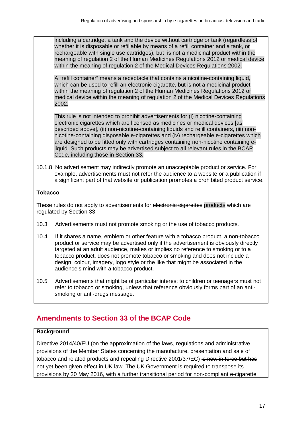including a cartridge, a tank and the device without cartridge or tank (regardless of whether it is disposable or refillable by means of a refill container and a tank, or rechargeable with single use cartridges), but is not a medicinal product within the meaning of regulation 2 of the Human Medicines Regulations 2012 or medical device within the meaning of regulation 2 of the Medical Devices Regulations 2002.

A "refill container" means a receptacle that contains a nicotine-containing liquid, which can be used to refill an electronic cigarette, but is not a medicinal product within the meaning of regulation 2 of the Human Medicines Regulations 2012 or medical device within the meaning of regulation 2 of the Medical Devices Regulations 2002.

This rule is not intended to prohibit advertisements for (i) nicotine-containing electronic cigarettes which are licensed as medicines or medical devices [as described above], (ii) non-nicotine-containing liquids and refill containers, (iii) nonnicotine-containing disposable e-cigarettes and (iv) rechargeable e-cigarettes which are designed to be fitted only with cartridges containing non-nicotine containing eliquid. Such products may be advertised subject to all relevant rules in the BCAP Code, including those in Section 33.

10.1.8 No advertisement may indirectly promote an unacceptable product or service. For example, advertisements must not refer the audience to a website or a publication if a significant part of that website or publication promotes a prohibited product service.

# **Tobacco**

These rules do not apply to advertisements for electronic cigarettes products which are regulated by Section 33.

- 10.3 Advertisements must not promote smoking or the use of tobacco products.
- 10.4 If it shares a name, emblem or other feature with a tobacco product, a non-tobacco product or service may be advertised only if the advertisement is obviously directly targeted at an adult audience, makes or implies no reference to smoking or to a tobacco product, does not promote tobacco or smoking and does not include a design, colour, imagery, logo style or the like that might be associated in the audience's mind with a tobacco product.
- 10.5 Advertisements that might be of particular interest to children or teenagers must not refer to tobacco or smoking, unless that reference obviously forms part of an antismoking or anti-drugs message.

# **Amendments to Section 33 of the BCAP Code**

# **Background**

Directive 2014/40/EU (on the approximation of the laws, regulations and administrative provisions of the Member States concerning the manufacture, presentation and sale of tobacco and related products and repealing Directive 2001/37/EC) is now in force but has not yet been given effect in UK law. The UK Government is required to transpose its provisions by 20 May 2016, with a further transitional period for non-compliant e-cigarette